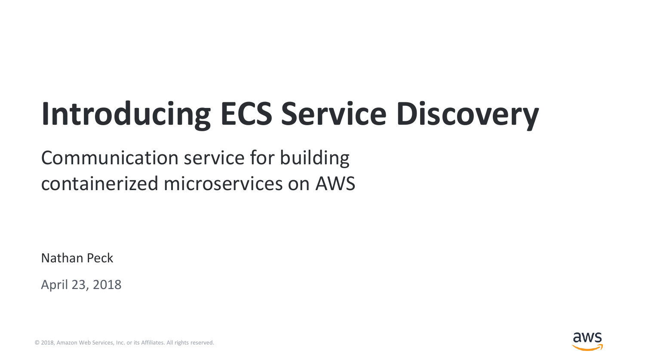# **Introducing ECS Service Discovery**

#### Communication service for building containerized microservices on AWS

Nathan Peck

April 23, 2018



© 2018, Amazon Web Services, Inc. or its Affiliates. All rights reserved.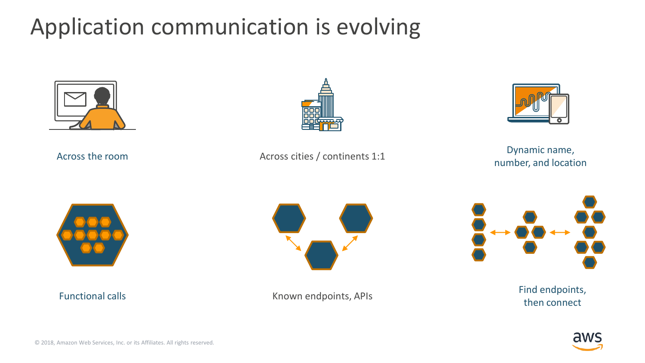### Application communication is evolving







Across the room **Dynamic name,** Across cities / continents 1:1 **Dynamic name, Dynamic name**, **Across cities** / continents 1:1







Functional calls Find endpoints, Known endpoints, APIsthen connect

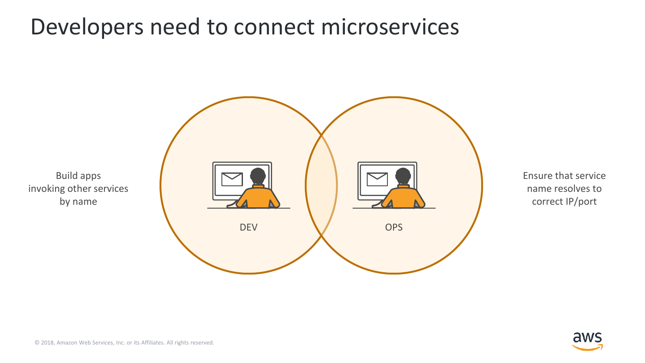#### Developers need to connect microservices



Ensure that service name resolves to correct IP/port

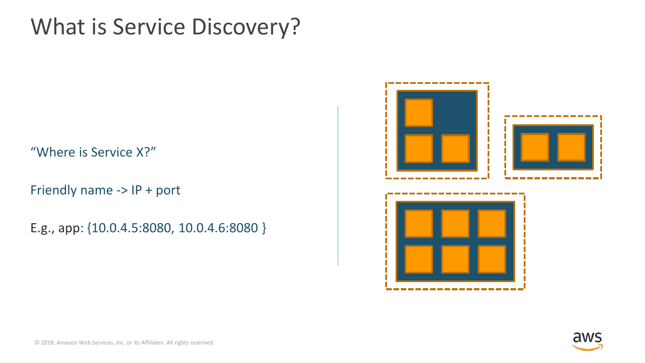#### What is Service Discovery?

"Where is Service X?"

Friendly name -> IP + port

E.g., app: {10.0.4.5:8080, 10.0.4.6:8080 }



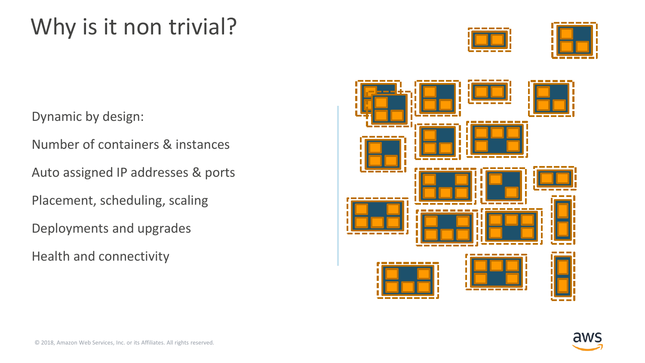### Why is it non trivial?





Dynamic by design:

Number of containers & instances

Auto assigned IP addresses & ports

Placement, scheduling, scaling

Deployments and upgrades

Health and connectivity



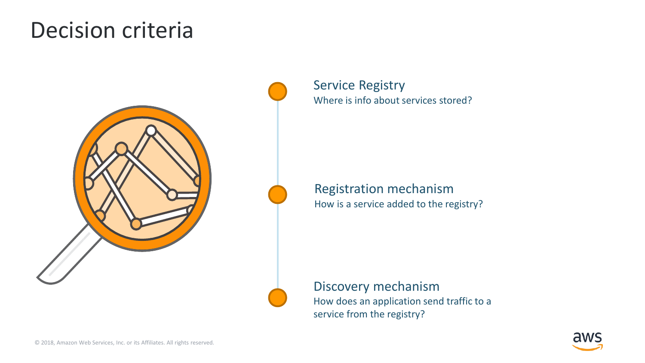#### Decision criteria



Service Registry Where is info about services stored?

Registration mechanism How is a service added to the registry?

Discovery mechanism How does an application send traffic to a service from the registry?

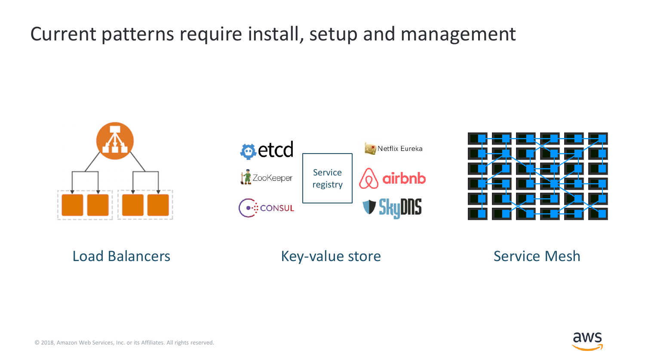#### Current patterns require install, setup and management







#### Load Balancers **Key-value store** Service Mesh

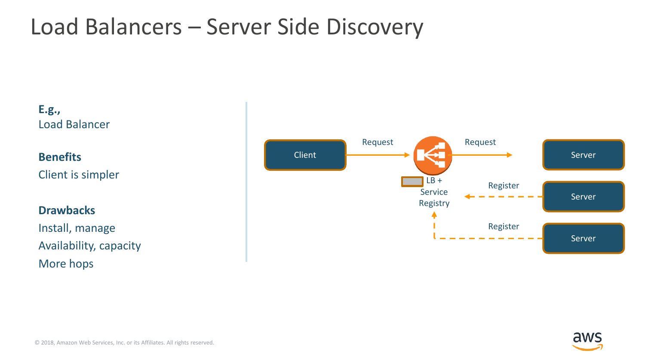### Load Balancers – Server Side Discovery



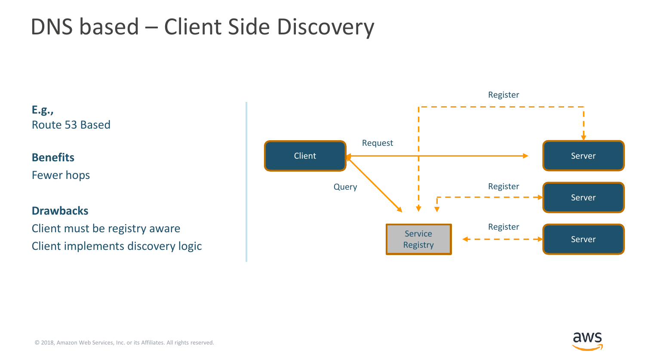### DNS based – Client Side Discovery

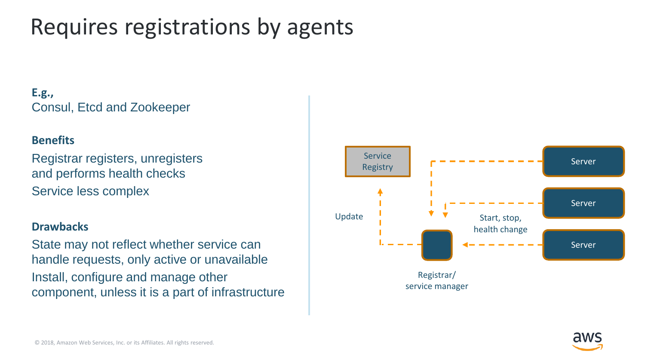### Requires registrations by agents

#### **E.g.,** Consul, Etcd and Zookeeper

#### **Benefits**

Registrar registers, unregisters and performs health checks Service less complex

#### **Drawbacks**

State may not reflect whether service can handle requests, only active or unavailable Install, configure and manage other component, unless it is a part of infrastructure



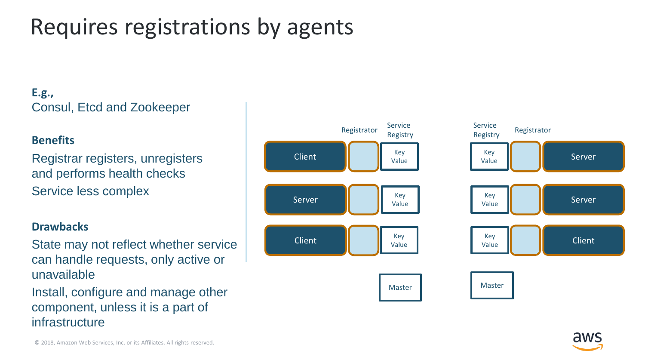### Requires registrations by agents

#### **E.g.,** Consul, Etcd and Zookeeper

#### **Benefits**

Registrar registers, unregisters and performs health checks Service less complex

#### **Drawbacks**

State may not reflect whether service can handle requests, only active or unavailable

Install, configure and manage other component, unless it is a part of infrastructure



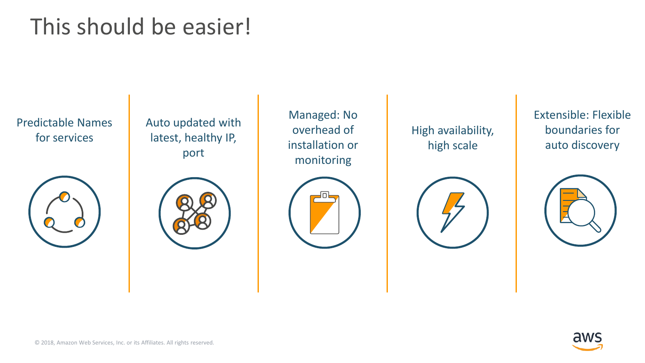### This should be easier!

Predictable Names for services



Auto updated with latest, healthy IP, port



Managed: No overhead of installation or monitoring



High availability, high scale



Extensible: Flexible boundaries for auto discovery



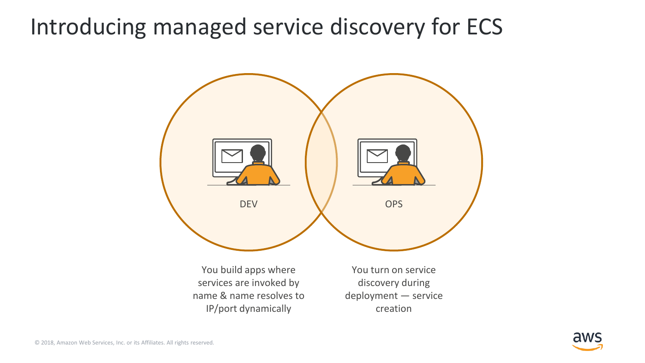#### Introducing managed service discovery for ECS



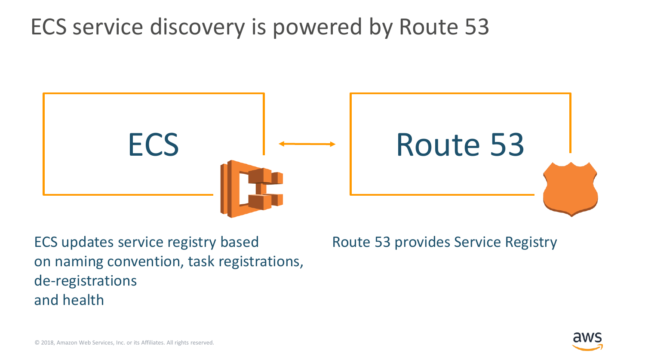#### ECS service discovery is powered by Route 53



ECS updates service registry based on naming convention, task registrations, de-registrations and health

Route 53 provides Service Registry

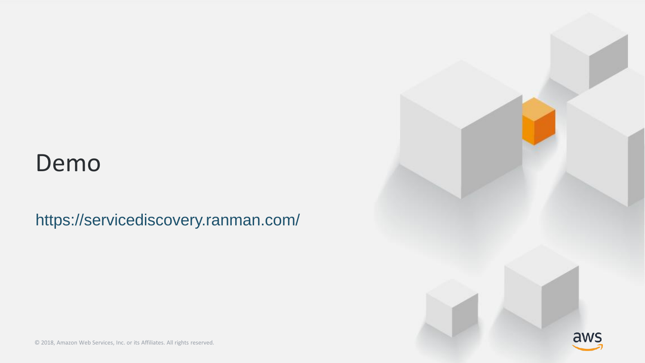#### Demo

https://servicediscovery.ranman.com/



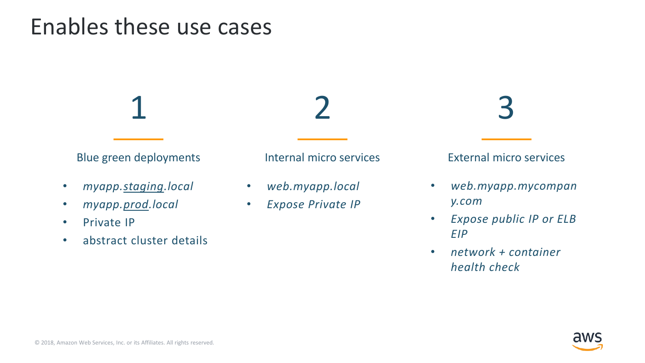#### Enables these use cases

Blue green deployments

1

- *myapp.staging.local*
- *myapp.prod.local*
- Private IP
- abstract cluster details

Internal micro services

2

- *web.myapp.local*
- *Expose Private IP*

3

External micro services

- *web.myapp.mycompan y.com*
- *Expose public IP or ELB EIP*
- *network + container health check*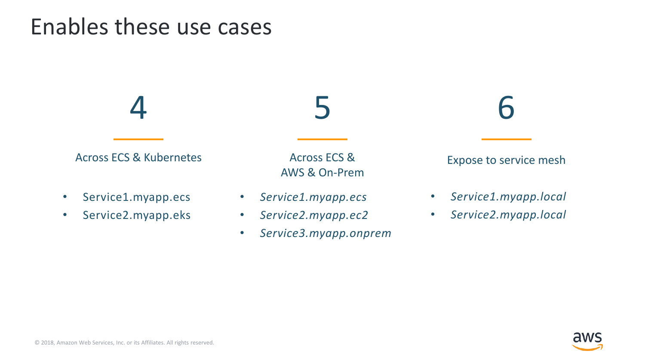#### Enables these use cases

Across ECS & Kubernetes

4

- Service1.myapp.ecs
- Service2.myapp.eks

Across ECS & AWS & On-Prem

5

- *Service1.myapp.ecs*
- *Service2.myapp.ec2*
- *Service3.myapp.onprem*

6

Expose to service mesh

- *Service1.myapp.local*
- *Service2.myapp.local*

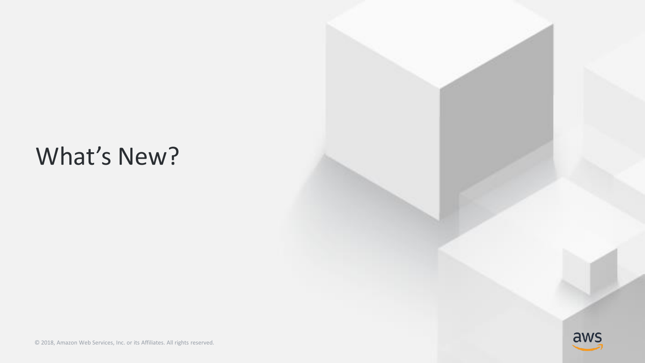### What's New?

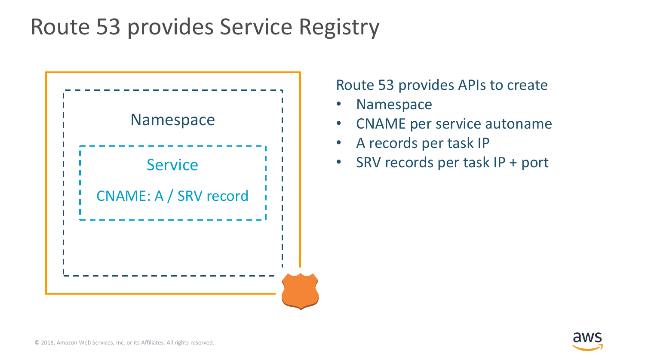#### Route 53 provides Service Registry



Route 53 provides APIs to create

- Namespace
- CNAME per service autoname
- A records per task IP
- Service  $\begin{array}{ccc} \vert & \vert & \vert & \vert \end{array}$  SRV records per task IP + port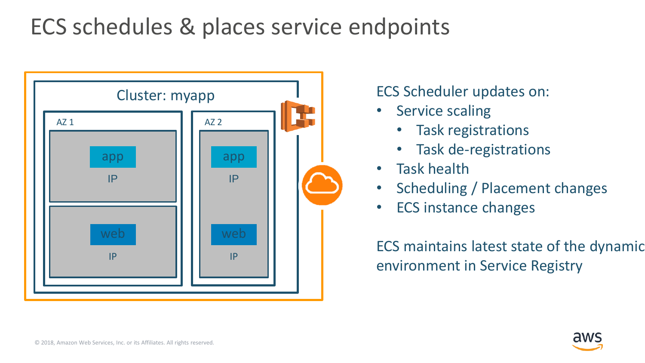### ECS schedules & places service endpoints



#### ECS Scheduler updates on:

- Service scaling
	- Task registrations
	- Task de-registrations
- Task health
- Scheduling / Placement changes
- ECS instance changes

ECS maintains latest state of the dynamic environment in Service Registry

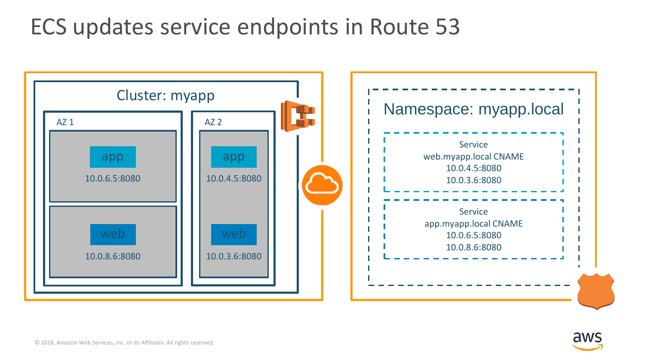#### ECS updates service endpoints in Route 53



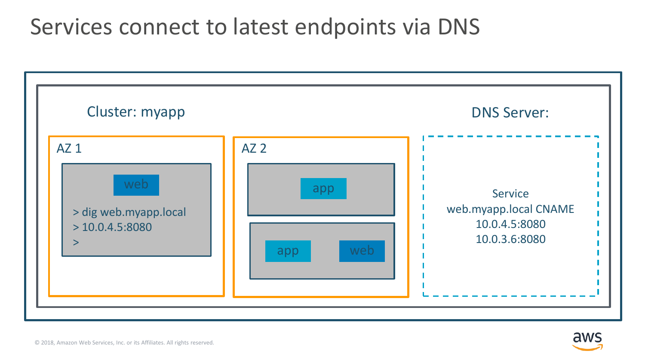#### Services connect to latest endpoints via DNS



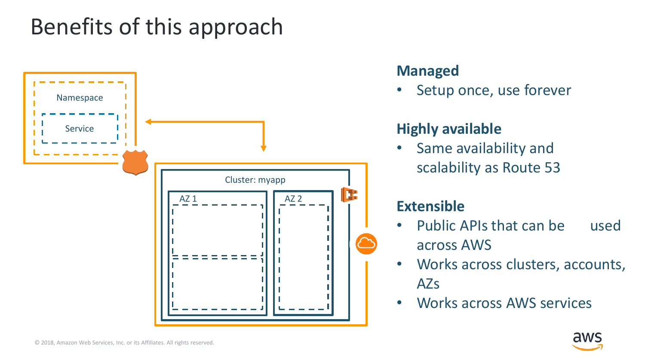### Benefits of this approach



#### **Managed**

Setup once, use forever

#### **Highly available**

• Same availability and scalability as Route 53

#### **Extensible**

- Public APIs that can be used across AWS
- Works across clusters, accounts, AZs
- Works across AWS services

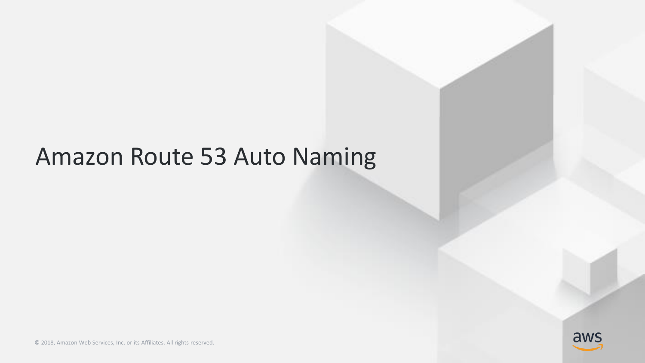### Amazon Route 53 Auto Naming

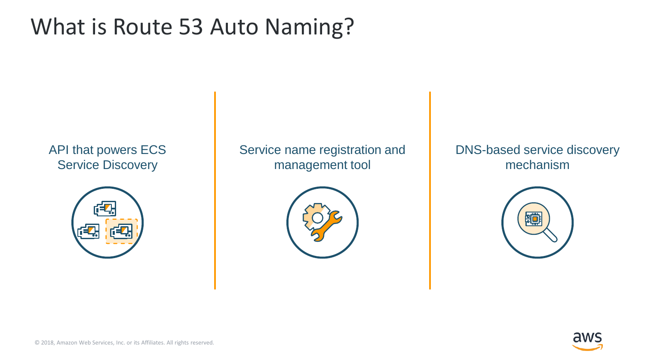### What is Route 53 Auto Naming?

#### API that powers ECS Service Discovery



Service name registration and management tool



DNS-based service discovery mechanism



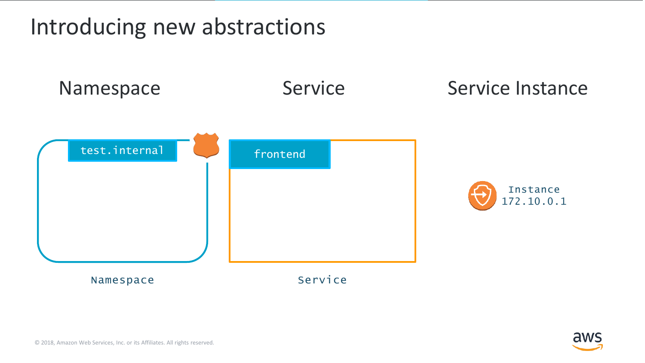Introducing new abstractions



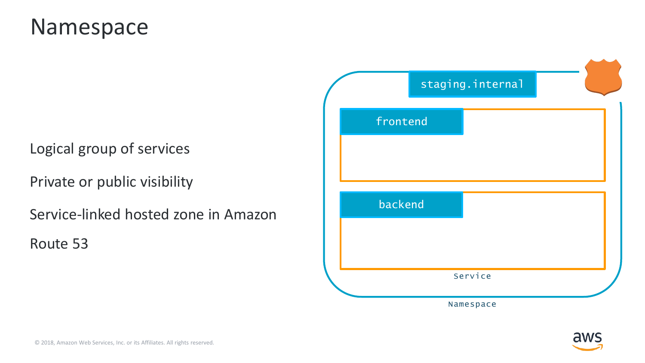#### Namespace

#### Logical group of services

Private or public visibility

Service-linked hosted zone in Amazon

Route 53

|          | staging.internal |  |
|----------|------------------|--|
| frontend |                  |  |
|          |                  |  |
|          |                  |  |
| backend  |                  |  |
|          |                  |  |
|          | Service          |  |
|          |                  |  |
|          | Namespace        |  |

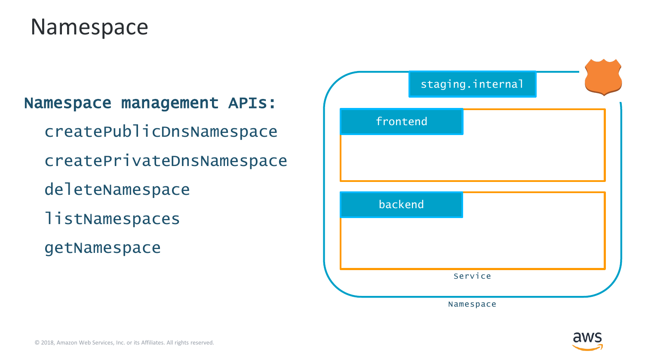#### Namespace

Namespace management APIs: createPublicDnsNamespace createPrivateDnsNamespace deleteNamespace **listNamespaces** getNamespace

|          | staging.internal |  |
|----------|------------------|--|
| frontend |                  |  |
|          |                  |  |
|          |                  |  |
| backend  |                  |  |
|          |                  |  |
|          | Service          |  |
|          |                  |  |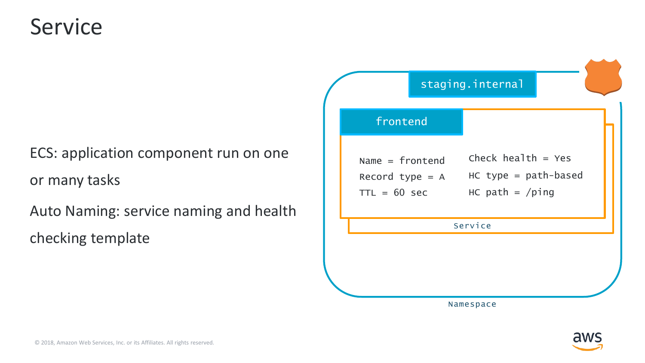#### Service

### ECS: application component run on one or many tasks

Auto Naming: service naming and health checking template



Namespace

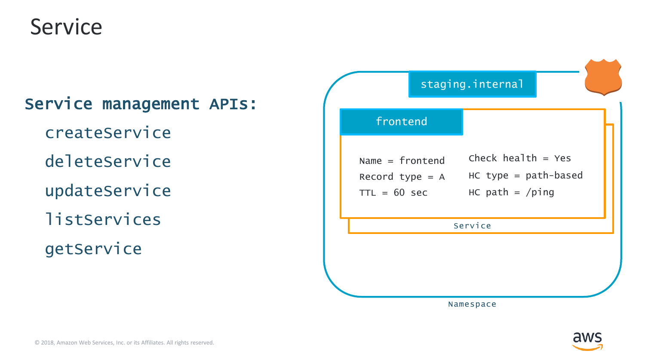#### Service

|               | Service management APIs: |  |
|---------------|--------------------------|--|
| createService |                          |  |
| deleteService |                          |  |
| updateService |                          |  |
| listServices  |                          |  |
| getService    |                          |  |



Namespace

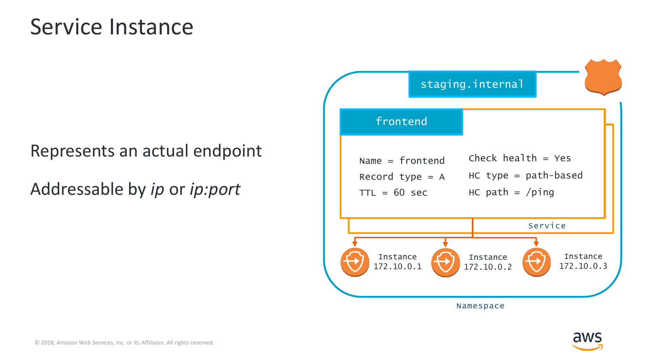#### Service Instance

#### Represents an actual endpoint

Addressable by *ip* or *ip:port*



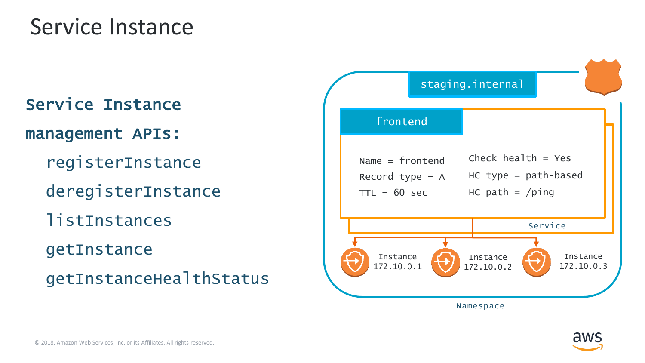#### Service Instance

## Service Instance management APIs: registerInstance deregisterInstance listInstances getInstance

getInstanceHealthStatus



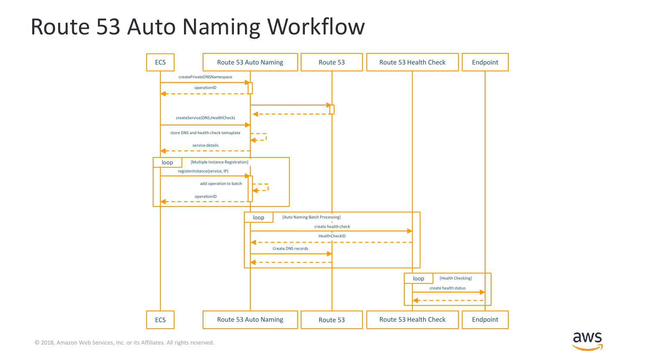#### Route 53 Auto Naming Workflow



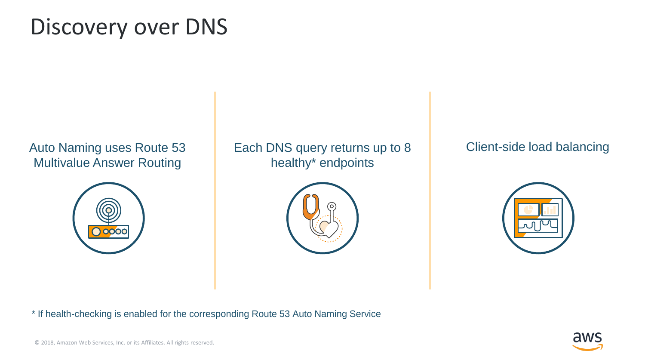#### Discovery over DNS

Auto Naming uses Route 53 Multivalue Answer Routing



Each DNS query returns up to 8 healthy\* endpoints



Client-side load balancing



\* If health-checking is enabled for the corresponding Route 53 Auto Naming Service

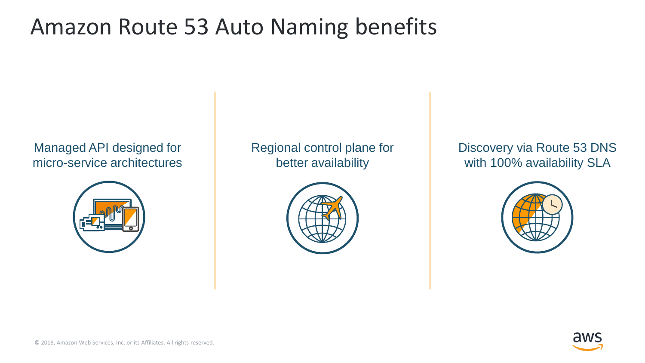#### Amazon Route 53 Auto Naming benefits

Managed API designed for micro-service architectures



Regional control plane for better availability



Discovery via Route 53 DNS with 100% availability SLA



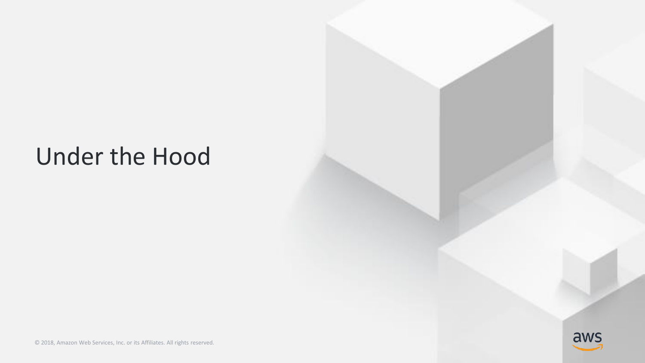### Under the Hood

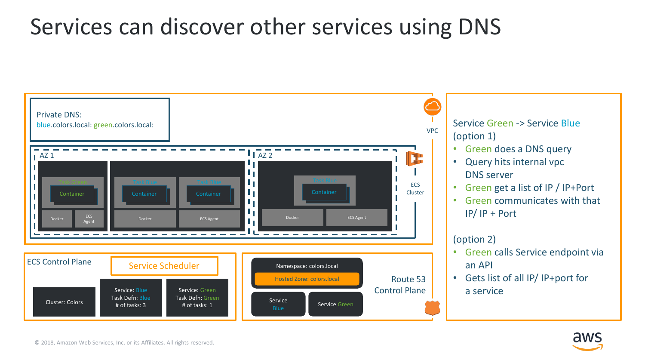

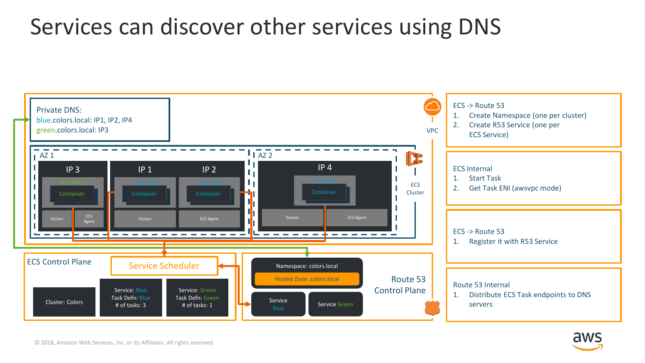

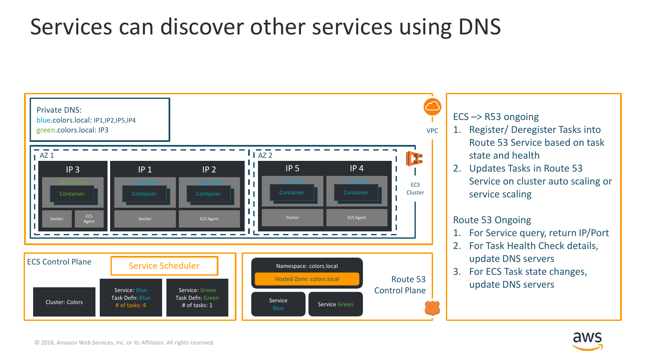

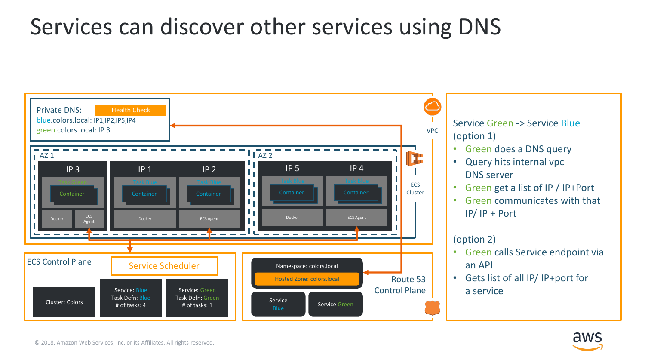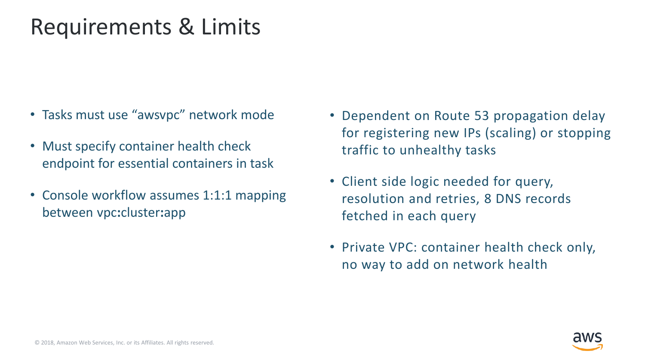#### Requirements & Limits

- Tasks must use "awsvpc" network mode
- Must specify container health check endpoint for essential containers in task
- Console workflow assumes 1:1:1 mapping between vpc**:**cluster**:**app
- Dependent on Route 53 propagation delay for registering new IPs (scaling) or stopping traffic to unhealthy tasks
- Client side logic needed for query, resolution and retries, 8 DNS records fetched in each query
- Private VPC: container health check only, no way to add on network health

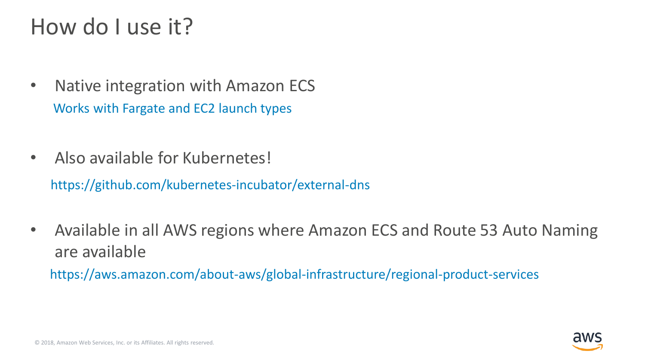### How do I use it?

- Native integration with Amazon ECS Works with Fargate and EC2 launch types
- Also available for Kubernetes! https://github.com/kubernetes-incubator/external-dns
- Available in all AWS regions where Amazon ECS and Route 53 Auto Naming are available

https://aws.amazon.com/about-aws/global-infrastructure/regional-product-services